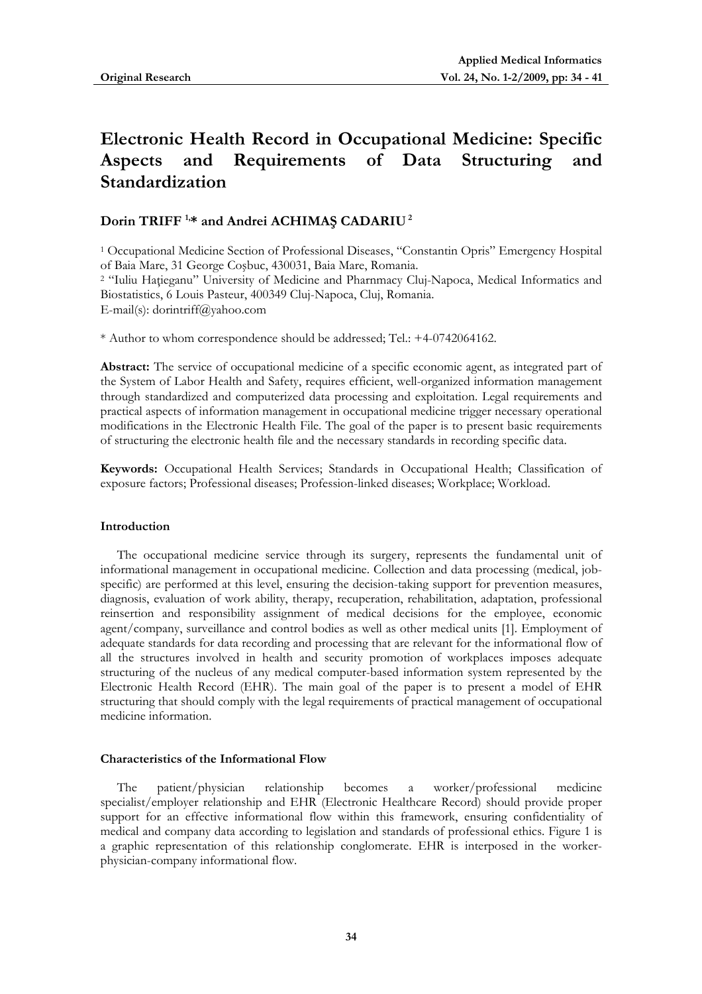# **Electronic Health Record in Occupational Medicine: Specific Aspects and Requirements of Data Structuring and Standardization**

# **Dorin TRIFF 1,\* and Andrei ACHIMAŞ CADARIU 2**

1 Occupational Medicine Section of Professional Diseases, "Constantin Opris" Emergency Hospital of Baia Mare, 31 George Coşbuc, 430031, Baia Mare, Romania. 2 "Iuliu Haţieganu" University of Medicine and Pharnmacy Cluj-Napoca, Medical Informatics and

Biostatistics, 6 Louis Pasteur, 400349 Cluj-Napoca, Cluj, Romania. E-mail(s): dorintriff@yahoo.com

\* Author to whom correspondence should be addressed; Tel.: +4-0742064162.

**Abstract:** The service of occupational medicine of a specific economic agent, as integrated part of the System of Labor Health and Safety, requires efficient, well-organized information management through standardized and computerized data processing and exploitation. Legal requirements and practical aspects of information management in occupational medicine trigger necessary operational modifications in the Electronic Health File. The goal of the paper is to present basic requirements of structuring the electronic health file and the necessary standards in recording specific data.

**Keywords:** Occupational Health Services; Standards in Occupational Health; Classification of exposure factors; Professional diseases; Profession-linked diseases; Workplace; Workload.

## **Introduction**

The occupational medicine service through its surgery, represents the fundamental unit of informational management in occupational medicine. Collection and data processing (medical, jobspecific) are performed at this level, ensuring the decision-taking support for prevention measures, diagnosis, evaluation of work ability, therapy, recuperation, rehabilitation, adaptation, professional reinsertion and responsibility assignment of medical decisions for the employee, economic agent/company, surveillance and control bodies as well as other medical units [1]. Employment of adequate standards for data recording and processing that are relevant for the informational flow of all the structures involved in health and security promotion of workplaces imposes adequate structuring of the nucleus of any medical computer-based information system represented by the Electronic Health Record (EHR). The main goal of the paper is to present a model of EHR structuring that should comply with the legal requirements of practical management of occupational medicine information.

# **Characteristics of the Informational Flow**

The patient/physician relationship becomes a worker/professional medicine specialist/employer relationship and EHR (Electronic Healthcare Record) should provide proper support for an effective informational flow within this framework, ensuring confidentiality of medical and company data according to legislation and standards of professional ethics. Figure 1 is a graphic representation of this relationship conglomerate. EHR is interposed in the workerphysician-company informational flow.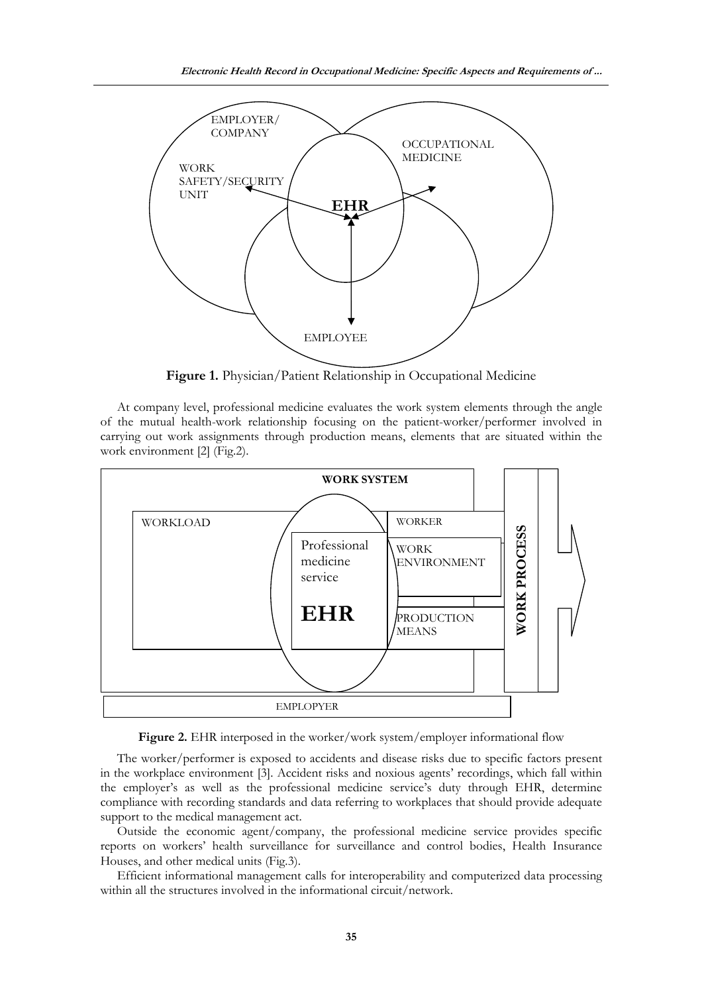

**Figure 1.** Physician/Patient Relationship in Occupational Medicine

At company level, professional medicine evaluates the work system elements through the angle of the mutual health-work relationship focusing on the patient-worker/performer involved in carrying out work assignments through production means, elements that are situated within the work environment [2] (Fig.2).



Figure 2. EHR interposed in the worker/work system/employer informational flow

The worker/performer is exposed to accidents and disease risks due to specific factors present in the workplace environment [3]. Accident risks and noxious agents' recordings, which fall within the employer's as well as the professional medicine service's duty through EHR, determine compliance with recording standards and data referring to workplaces that should provide adequate support to the medical management act.

Outside the economic agent/company, the professional medicine service provides specific reports on workers' health surveillance for surveillance and control bodies, Health Insurance Houses, and other medical units (Fig.3).

Efficient informational management calls for interoperability and computerized data processing within all the structures involved in the informational circuit/network.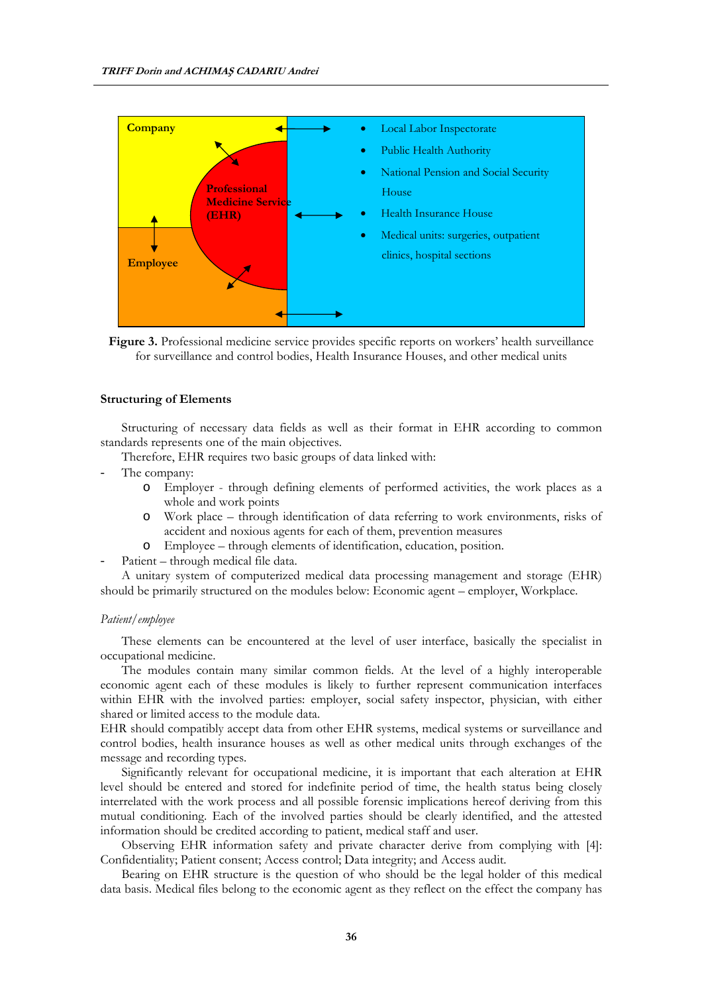

Figure 3. Professional medicine service provides specific reports on workers' health surveillance for surveillance and control bodies, Health Insurance Houses, and other medical units

#### **Structuring of Elements**

Structuring of necessary data fields as well as their format in EHR according to common standards represents one of the main objectives.

Therefore, EHR requires two basic groups of data linked with:

- The company:
	- o Employer through defining elements of performed activities, the work places as a whole and work points
	- o Work place through identification of data referring to work environments, risks of accident and noxious agents for each of them, prevention measures
	- o Employee through elements of identification, education, position.
- Patient through medical file data.

A unitary system of computerized medical data processing management and storage (EHR) should be primarily structured on the modules below: Economic agent – employer, Workplace.

#### *Patient/employee*

These elements can be encountered at the level of user interface, basically the specialist in occupational medicine.

The modules contain many similar common fields. At the level of a highly interoperable economic agent each of these modules is likely to further represent communication interfaces within EHR with the involved parties: employer, social safety inspector, physician, with either shared or limited access to the module data.

EHR should compatibly accept data from other EHR systems, medical systems or surveillance and control bodies, health insurance houses as well as other medical units through exchanges of the message and recording types.

Significantly relevant for occupational medicine, it is important that each alteration at EHR level should be entered and stored for indefinite period of time, the health status being closely interrelated with the work process and all possible forensic implications hereof deriving from this mutual conditioning. Each of the involved parties should be clearly identified, and the attested information should be credited according to patient, medical staff and user.

Observing EHR information safety and private character derive from complying with [4]: Confidentiality; Patient consent; Access control; Data integrity; and Access audit.

Bearing on EHR structure is the question of who should be the legal holder of this medical data basis. Medical files belong to the economic agent as they reflect on the effect the company has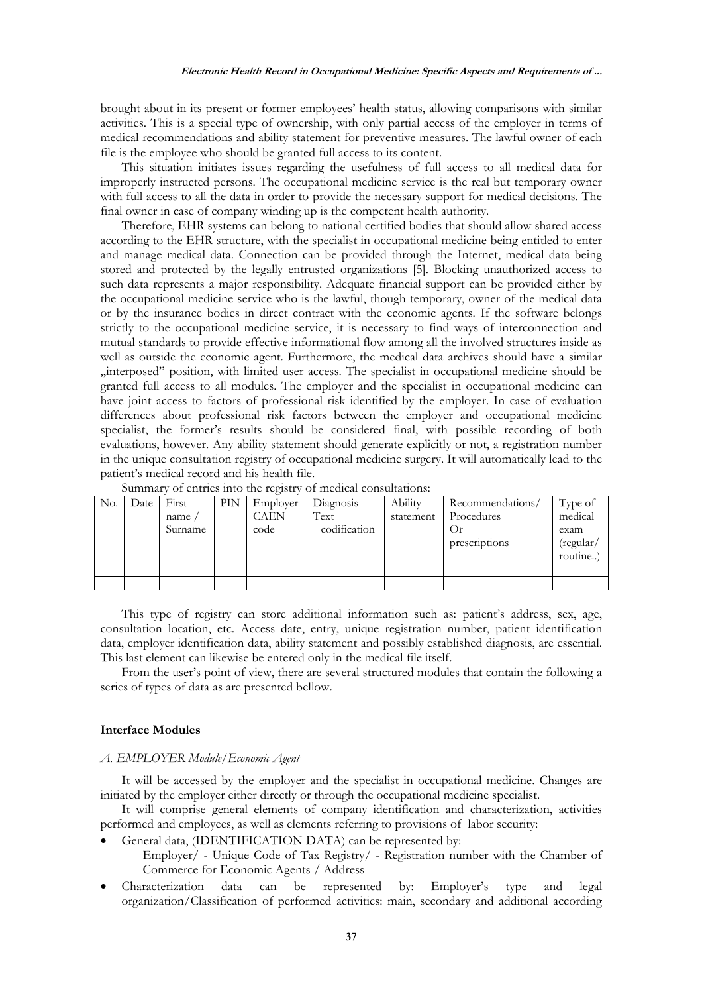brought about in its present or former employees' health status, allowing comparisons with similar activities. This is a special type of ownership, with only partial access of the employer in terms of medical recommendations and ability statement for preventive measures. The lawful owner of each file is the employee who should be granted full access to its content.

This situation initiates issues regarding the usefulness of full access to all medical data for improperly instructed persons. The occupational medicine service is the real but temporary owner with full access to all the data in order to provide the necessary support for medical decisions. The final owner in case of company winding up is the competent health authority.

Therefore, EHR systems can belong to national certified bodies that should allow shared access according to the EHR structure, with the specialist in occupational medicine being entitled to enter and manage medical data. Connection can be provided through the Internet, medical data being stored and protected by the legally entrusted organizations [5]. Blocking unauthorized access to such data represents a major responsibility. Adequate financial support can be provided either by the occupational medicine service who is the lawful, though temporary, owner of the medical data or by the insurance bodies in direct contract with the economic agents. If the software belongs strictly to the occupational medicine service, it is necessary to find ways of interconnection and mutual standards to provide effective informational flow among all the involved structures inside as well as outside the economic agent. Furthermore, the medical data archives should have a similar "interposed" position, with limited user access. The specialist in occupational medicine should be granted full access to all modules. The employer and the specialist in occupational medicine can have joint access to factors of professional risk identified by the employer. In case of evaluation differences about professional risk factors between the employer and occupational medicine specialist, the former's results should be considered final, with possible recording of both evaluations, however. Any ability statement should generate explicitly or not, a registration number in the unique consultation registry of occupational medicine surgery. It will automatically lead to the patient's medical record and his health file.

|     | $0.1$ 0.1.0.100 1.100 0.10 100.100. |         |     |             |               |           |                  |           |  |  |  |  |  |  |
|-----|-------------------------------------|---------|-----|-------------|---------------|-----------|------------------|-----------|--|--|--|--|--|--|
| No. | Date                                | First   | PIN | Employer    | Diagnosis     | Ability   | Recommendations/ | Type of   |  |  |  |  |  |  |
|     |                                     | name    |     | <b>CAEN</b> | Text          | statement | Procedures       | medical   |  |  |  |  |  |  |
|     |                                     | Surname |     | code        | +codification |           | O <sub>f</sub>   | exam      |  |  |  |  |  |  |
|     |                                     |         |     |             |               |           | prescriptions    | (regular/ |  |  |  |  |  |  |
|     |                                     |         |     |             |               |           |                  | routine   |  |  |  |  |  |  |
|     |                                     |         |     |             |               |           |                  |           |  |  |  |  |  |  |
|     |                                     |         |     |             |               |           |                  |           |  |  |  |  |  |  |

Summary of entries into the registry of medical consultations:

This type of registry can store additional information such as: patient's address, sex, age, consultation location, etc. Access date, entry, unique registration number, patient identification data, employer identification data, ability statement and possibly established diagnosis, are essential. This last element can likewise be entered only in the medical file itself.

From the user's point of view, there are several structured modules that contain the following a series of types of data as are presented bellow.

# **Interface Modules**

#### *A. EMPLOYER Module/Economic Agent*

It will be accessed by the employer and the specialist in occupational medicine. Changes are initiated by the employer either directly or through the occupational medicine specialist.

It will comprise general elements of company identification and characterization, activities performed and employees, as well as elements referring to provisions of labor security:

• General data, (IDENTIFICATION DATA) can be represented by:

Employer/ - Unique Code of Tax Registry/ - Registration number with the Chamber of Commerce for Economic Agents / Address

• Characterization data can be represented by: Employer's type and legal organization/Classification of performed activities: main, secondary and additional according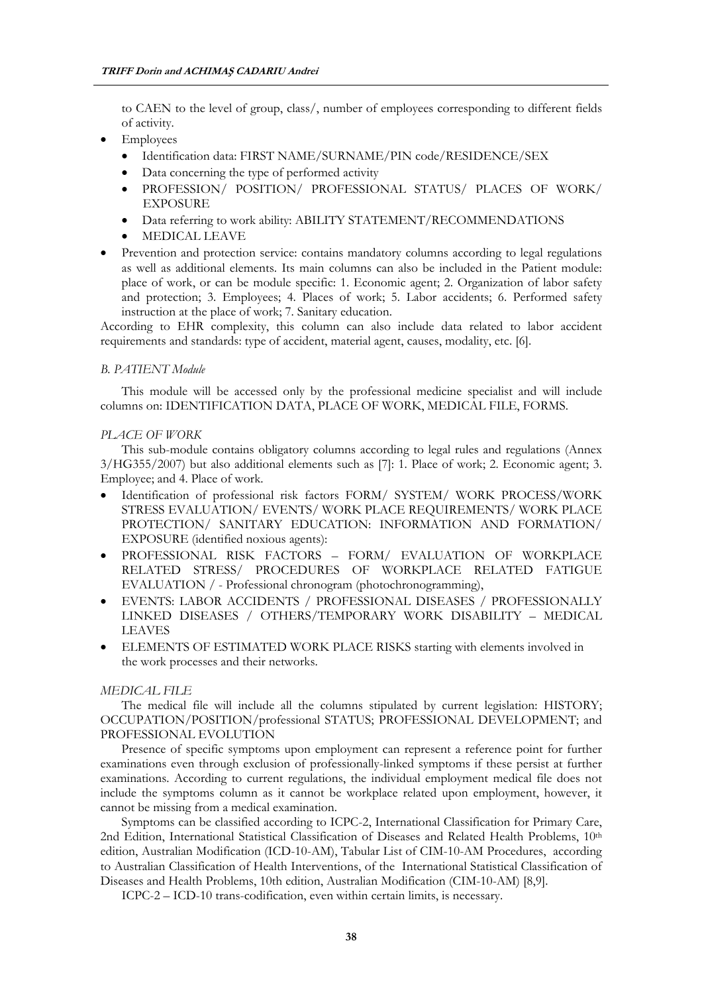to CAEN to the level of group, class/, number of employees corresponding to different fields of activity.

- Employees
	- Identification data: FIRST NAME/SURNAME/PIN code/RESIDENCE/SEX
	- Data concerning the type of performed activity
	- PROFESSION/ POSITION/ PROFESSIONAL STATUS/ PLACES OF WORK/ EXPOSURE
	- Data referring to work ability: ABILITY STATEMENT/RECOMMENDATIONS
	- MEDICAL LEAVE
- Prevention and protection service: contains mandatory columns according to legal regulations as well as additional elements. Its main columns can also be included in the Patient module: place of work, or can be module specific: 1. Economic agent; 2. Organization of labor safety and protection; 3. Employees; 4. Places of work; 5. Labor accidents; 6. Performed safety instruction at the place of work; 7. Sanitary education.

According to EHR complexity, this column can also include data related to labor accident requirements and standards: type of accident, material agent, causes, modality, etc. [6].

#### *B. PATIENT Module*

This module will be accessed only by the professional medicine specialist and will include columns on: IDENTIFICATION DATA, PLACE OF WORK, MEDICAL FILE, FORMS.

# *PLACE OF WORK*

This sub-module contains obligatory columns according to legal rules and regulations (Annex 3/HG355/2007) but also additional elements such as [7]: 1. Place of work; 2. Economic agent; 3. Employee; and 4. Place of work.

- Identification of professional risk factors FORM/ SYSTEM/ WORK PROCESS/WORK STRESS EVALUATION/ EVENTS/ WORK PLACE REQUIREMENTS/ WORK PLACE PROTECTION/ SANITARY EDUCATION: INFORMATION AND FORMATION/ EXPOSURE (identified noxious agents):
- PROFESSIONAL RISK FACTORS FORM/ EVALUATION OF WORKPLACE RELATED STRESS/ PROCEDURES OF WORKPLACE RELATED FATIGUE EVALUATION / - Professional chronogram (photochronogramming),
- EVENTS: LABOR ACCIDENTS / PROFESSIONAL DISEASES / PROFESSIONALLY LINKED DISEASES / OTHERS/TEMPORARY WORK DISABILITY – MEDICAL LEAVES
- ELEMENTS OF ESTIMATED WORK PLACE RISKS starting with elements involved in the work processes and their networks.

# *MEDICAL FILE*

The medical file will include all the columns stipulated by current legislation: HISTORY; OCCUPATION/POSITION/professional STATUS; PROFESSIONAL DEVELOPMENT; and PROFESSIONAL EVOLUTION

Presence of specific symptoms upon employment can represent a reference point for further examinations even through exclusion of professionally-linked symptoms if these persist at further examinations. According to current regulations, the individual employment medical file does not include the symptoms column as it cannot be workplace related upon employment, however, it cannot be missing from a medical examination.

Symptoms can be classified according to ICPC-2, International Classification for Primary Care, 2nd Edition, International Statistical Classification of Diseases and Related Health Problems, 10th edition, Australian Modification (ICD-10-AM), Tabular List of CIM-10-AM Procedures, according to Australian Classification of Health Interventions, of the International Statistical Classification of Diseases and Health Problems, 10th edition, Australian Modification (CIM-10-AM) [8,9].

ICPC-2 – ICD-10 trans-codification, even within certain limits, is necessary.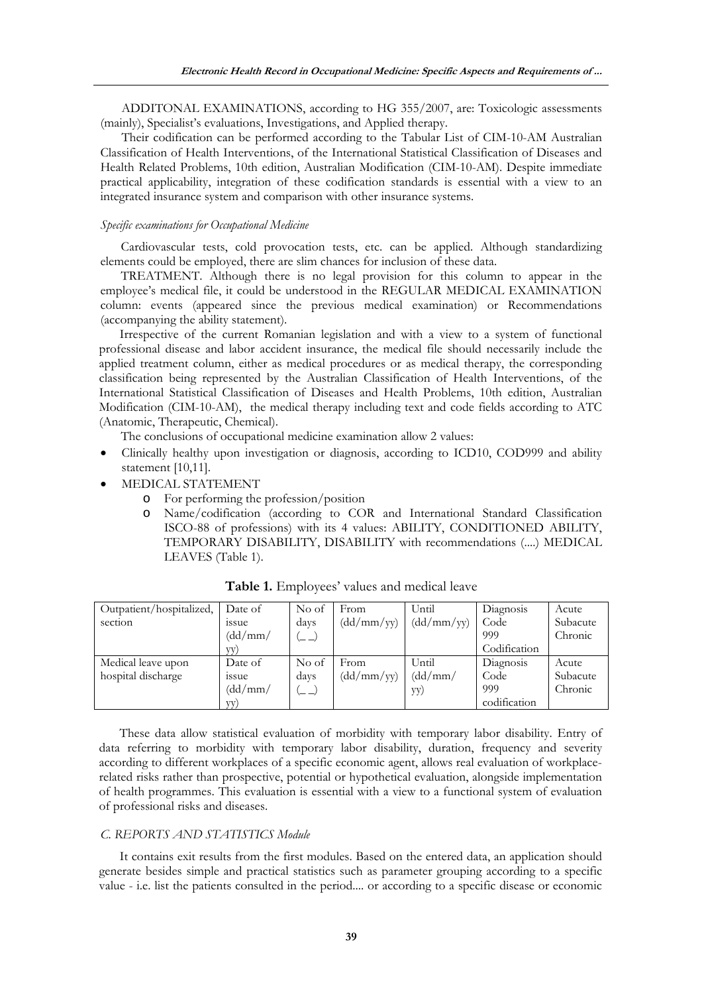ADDITONAL EXAMINATIONS, according to HG 355/2007, are: Toxicologic assessments (mainly), Specialist's evaluations, Investigations, and Applied therapy.

Their codification can be performed according to the Tabular List of CIM-10-AM Australian Classification of Health Interventions, of the International Statistical Classification of Diseases and Health Related Problems, 10th edition, Australian Modification (CIM-10-AM). Despite immediate practical applicability, integration of these codification standards is essential with a view to an integrated insurance system and comparison with other insurance systems.

# *Specific examinations for Occupational Medicine*

Cardiovascular tests, cold provocation tests, etc. can be applied. Although standardizing elements could be employed, there are slim chances for inclusion of these data.

TREATMENT. Although there is no legal provision for this column to appear in the employee's medical file, it could be understood in the REGULAR MEDICAL EXAMINATION column: events (appeared since the previous medical examination) or Recommendations (accompanying the ability statement).

Irrespective of the current Romanian legislation and with a view to a system of functional professional disease and labor accident insurance, the medical file should necessarily include the applied treatment column, either as medical procedures or as medical therapy, the corresponding classification being represented by the Australian Classification of Health Interventions, of the International Statistical Classification of Diseases and Health Problems, 10th edition, Australian Modification (CIM-10-AM), the medical therapy including text and code fields according to ATC (Anatomic, Therapeutic, Chemical).

The conclusions of occupational medicine examination allow 2 values:

- Clinically healthy upon investigation or diagnosis, according to ICD10, COD999 and ability statement [10,11].
- MEDICAL STATEMENT
	- o For performing the profession/position
	- o Name/codification (according to COR and International Standard Classification ISCO-88 of professions) with its 4 values: ABILITY, CONDITIONED ABILITY, TEMPORARY DISABILITY, DISABILITY with recommendations (....) MEDICAL LEAVES (Table 1).

| Outpatient/hospitalized, | Date of | No of                    | From       | Until                        | Diagnosis    | Acute    |
|--------------------------|---------|--------------------------|------------|------------------------------|--------------|----------|
| section                  | 1SSUe   | days                     | (dd/mm/yy) | $\left(\frac{dd}{mm}\right)$ | Code         | Subacute |
|                          | (dd/mm/ | ∖— —⁄                    |            |                              | 999          | Chronic  |
|                          | VV)     |                          |            |                              | Codification |          |
| Medical leave upon       | Date of | No of                    | From       | Until                        | Diagnosis    | Acute    |
| hospital discharge       | 1SSUe   | days                     | (dd/mm/yy) | (dd/mm/                      | Code         | Subacute |
|                          | (dd/mm/ | $\overline{\phantom{m}}$ |            | yy)                          | 999          | Chronic  |
|                          | VV)     |                          |            |                              | codification |          |

**Table 1.** Employees' values and medical leave

These data allow statistical evaluation of morbidity with temporary labor disability. Entry of data referring to morbidity with temporary labor disability, duration, frequency and severity according to different workplaces of a specific economic agent, allows real evaluation of workplacerelated risks rather than prospective, potential or hypothetical evaluation, alongside implementation of health programmes. This evaluation is essential with a view to a functional system of evaluation of professional risks and diseases.

# *C. REPORTS AND STATISTICS Module*

It contains exit results from the first modules. Based on the entered data, an application should generate besides simple and practical statistics such as parameter grouping according to a specific value - i.e. list the patients consulted in the period.... or according to a specific disease or economic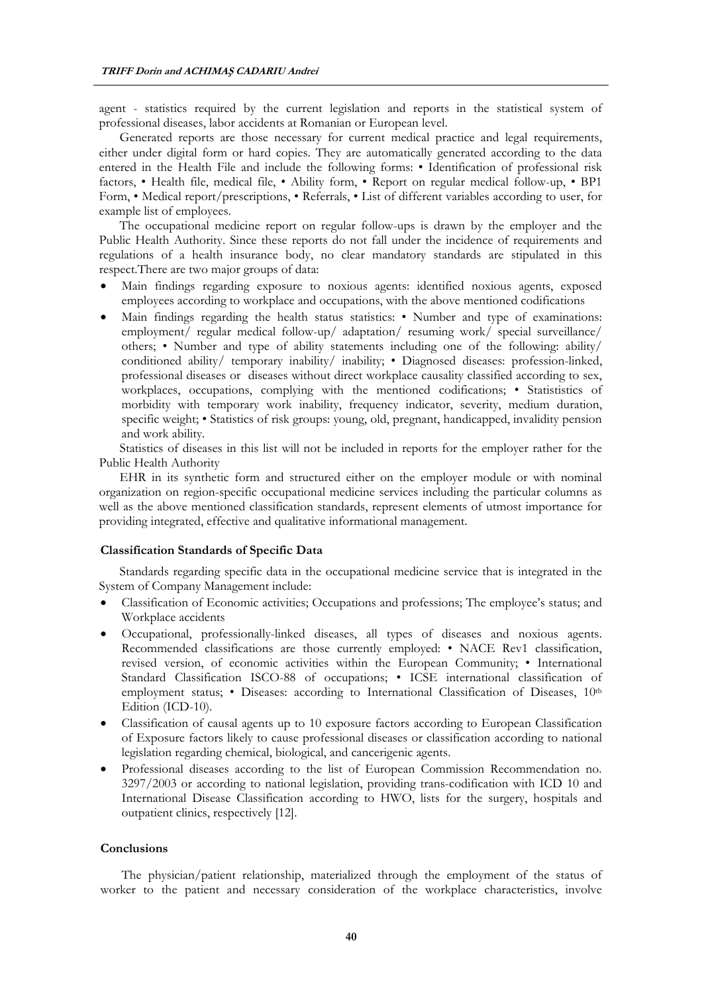agent - statistics required by the current legislation and reports in the statistical system of professional diseases, labor accidents at Romanian or European level.

Generated reports are those necessary for current medical practice and legal requirements, either under digital form or hard copies. They are automatically generated according to the data entered in the Health File and include the following forms: • Identification of professional risk factors, • Health file, medical file, • Ability form, • Report on regular medical follow-up, • BP1 Form, • Medical report/prescriptions, • Referrals, • List of different variables according to user, for example list of employees.

The occupational medicine report on regular follow-ups is drawn by the employer and the Public Health Authority. Since these reports do not fall under the incidence of requirements and regulations of a health insurance body, no clear mandatory standards are stipulated in this respect.There are two major groups of data:

- Main findings regarding exposure to noxious agents: identified noxious agents, exposed employees according to workplace and occupations, with the above mentioned codifications
- Main findings regarding the health status statistics: Number and type of examinations: employment/ regular medical follow-up/ adaptation/ resuming work/ special surveillance/ others; • Number and type of ability statements including one of the following: ability/ conditioned ability/ temporary inability/ inability; • Diagnosed diseases: profession-linked, professional diseases or diseases without direct workplace causality classified according to sex, workplaces, occupations, complying with the mentioned codifications; • Statististics of morbidity with temporary work inability, frequency indicator, severity, medium duration, specific weight; • Statistics of risk groups: young, old, pregnant, handicapped, invalidity pension and work ability.

Statistics of diseases in this list will not be included in reports for the employer rather for the Public Health Authority

EHR in its synthetic form and structured either on the employer module or with nominal organization on region-specific occupational medicine services including the particular columns as well as the above mentioned classification standards, represent elements of utmost importance for providing integrated, effective and qualitative informational management.

# **Classification Standards of Specific Data**

Standards regarding specific data in the occupational medicine service that is integrated in the System of Company Management include:

- Classification of Economic activities; Occupations and professions; The employee's status; and Workplace accidents
- Occupational, professionally-linked diseases, all types of diseases and noxious agents. Recommended classifications are those currently employed: • NACE Rev1 classification, revised version, of economic activities within the European Community; • International Standard Classification ISCO-88 of occupations; • ICSE international classification of employment status; • Diseases: according to International Classification of Diseases, 10<sup>th</sup> Edition (ICD-10).
- Classification of causal agents up to 10 exposure factors according to European Classification of Exposure factors likely to cause professional diseases or classification according to national legislation regarding chemical, biological, and cancerigenic agents.
- Professional diseases according to the list of European Commission Recommendation no. 3297/2003 or according to national legislation, providing trans-codification with ICD 10 and International Disease Classification according to HWO, lists for the surgery, hospitals and outpatient clinics, respectively [12].

## **Conclusions**

The physician/patient relationship, materialized through the employment of the status of worker to the patient and necessary consideration of the workplace characteristics, involve